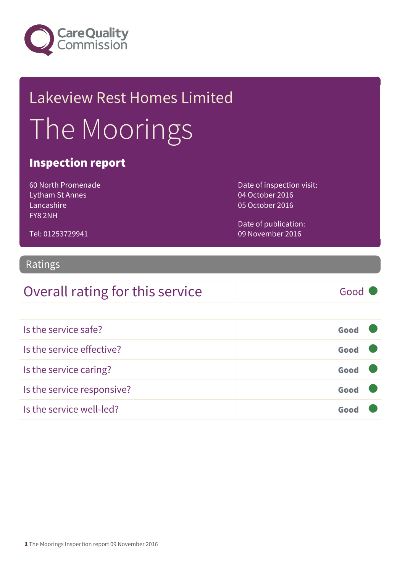

## Lakeview Rest Homes Limited The Moorings

### Inspection report

60 North Promenade Lytham St Annes Lancashire FY8 2NH

Tel: 01253729941

Date of inspection visit: 04 October 2016 05 October 2016

Date of publication: 09 November 2016

## Ratings

### Overall rating for this service Good

| Is the service safe?       | Good |  |
|----------------------------|------|--|
| Is the service effective?  | Good |  |
| Is the service caring?     | Good |  |
| Is the service responsive? | Good |  |
| Is the service well-led?   | Goor |  |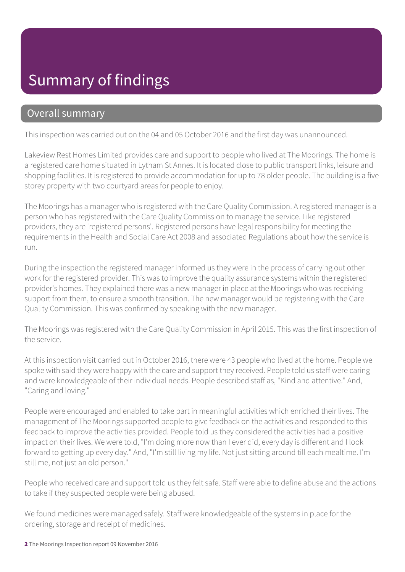### Summary of findings

### Overall summary

This inspection was carried out on the 04 and 05 October 2016 and the first day was unannounced.

Lakeview Rest Homes Limited provides care and support to people who lived at The Moorings. The home is a registered care home situated in Lytham St Annes. It is located close to public transport links, leisure and shopping facilities. It is registered to provide accommodation for up to 78 older people. The building is a five storey property with two courtyard areas for people to enjoy.

The Moorings has a manager who is registered with the Care Quality Commission. A registered manager is a person who has registered with the Care Quality Commission to manage the service. Like registered providers, they are 'registered persons'. Registered persons have legal responsibility for meeting the requirements in the Health and Social Care Act 2008 and associated Regulations about how the service is run.

During the inspection the registered manager informed us they were in the process of carrying out other work for the registered provider. This was to improve the quality assurance systems within the registered provider's homes. They explained there was a new manager in place at the Moorings who was receiving support from them, to ensure a smooth transition. The new manager would be registering with the Care Quality Commission. This was confirmed by speaking with the new manager.

The Moorings was registered with the Care Quality Commission in April 2015. This was the first inspection of the service.

At this inspection visit carried out in October 2016, there were 43 people who lived at the home. People we spoke with said they were happy with the care and support they received. People told us staff were caring and were knowledgeable of their individual needs. People described staff as, "Kind and attentive." And, "Caring and loving."

People were encouraged and enabled to take part in meaningful activities which enriched their lives. The management of The Moorings supported people to give feedback on the activities and responded to this feedback to improve the activities provided. People told us they considered the activities had a positive impact on their lives. We were told, "I'm doing more now than I ever did, every day is different and I look forward to getting up every day." And, "I'm still living my life. Not just sitting around till each mealtime. I'm still me, not just an old person."

People who received care and support told us they felt safe. Staff were able to define abuse and the actions to take if they suspected people were being abused.

We found medicines were managed safely. Staff were knowledgeable of the systems in place for the ordering, storage and receipt of medicines.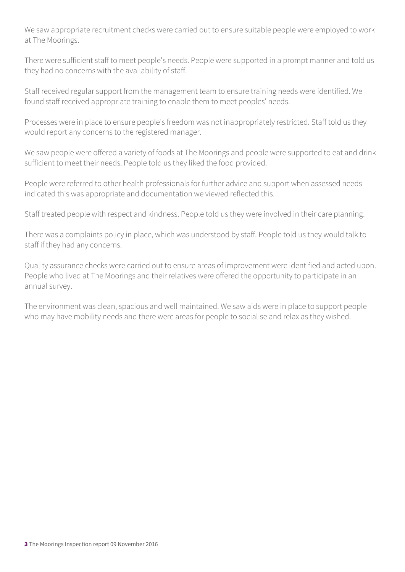We saw appropriate recruitment checks were carried out to ensure suitable people were employed to work at The Moorings.

There were sufficient staff to meet people's needs. People were supported in a prompt manner and told us they had no concerns with the availability of staff.

Staff received regular support from the management team to ensure training needs were identified. We found staff received appropriate training to enable them to meet peoples' needs.

Processes were in place to ensure people's freedom was not inappropriately restricted. Staff told us they would report any concerns to the registered manager.

We saw people were offered a variety of foods at The Moorings and people were supported to eat and drink sufficient to meet their needs. People told us they liked the food provided.

People were referred to other health professionals for further advice and support when assessed needs indicated this was appropriate and documentation we viewed reflected this.

Staff treated people with respect and kindness. People told us they were involved in their care planning.

There was a complaints policy in place, which was understood by staff. People told us they would talk to staff if they had any concerns.

Quality assurance checks were carried out to ensure areas of improvement were identified and acted upon. People who lived at The Moorings and their relatives were offered the opportunity to participate in an annual survey.

The environment was clean, spacious and well maintained. We saw aids were in place to support people who may have mobility needs and there were areas for people to socialise and relax as they wished.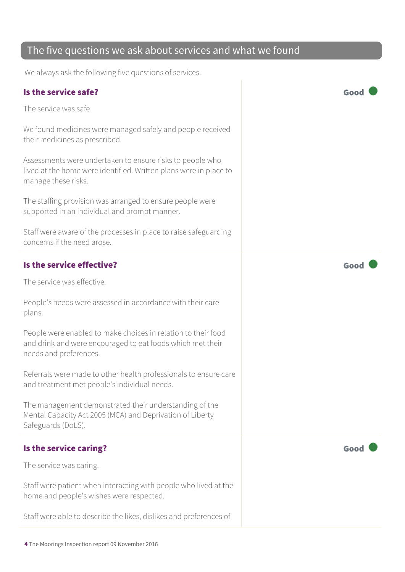### The five questions we ask about services and what we found

We always ask the following five questions of services.

### Is the service safe? Good

The service was safe.

We found medicines were managed safely and people received their medicines as prescribed.

Assessments were undertaken to ensure risks to people who lived at the home were identified. Written plans were in place to manage these risks.

The staffing provision was arranged to ensure people were supported in an individual and prompt manner.

Staff were aware of the processes in place to raise safeguarding concerns if the need arose.

### Is the service effective? Good

The service was effective.

People's needs were assessed in accordance with their care plans.

People were enabled to make choices in relation to their food and drink and were encouraged to eat foods which met their needs and preferences.

Referrals were made to other health professionals to ensure care and treatment met people's individual needs.

The management demonstrated their understanding of the Mental Capacity Act 2005 (MCA) and Deprivation of Liberty Safeguards (DoLS).

### Is the service caring? The service caring?

The service was caring.

Staff were patient when interacting with people who lived at the home and people's wishes were respected.

Staff were able to describe the likes, dislikes and preferences of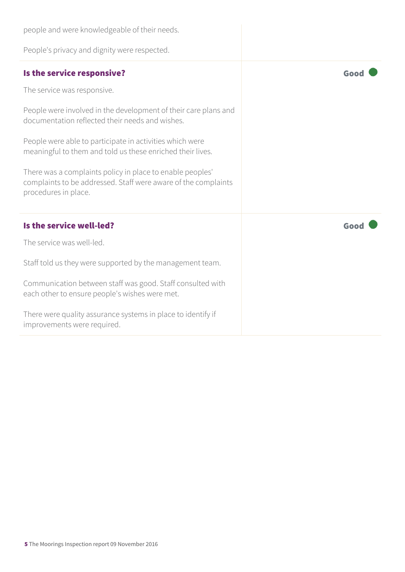| people and were knowledgeable of their needs.                                                                                                       |      |
|-----------------------------------------------------------------------------------------------------------------------------------------------------|------|
| People's privacy and dignity were respected.                                                                                                        |      |
| Is the service responsive?                                                                                                                          | Good |
| The service was responsive.                                                                                                                         |      |
| People were involved in the development of their care plans and<br>documentation reflected their needs and wishes.                                  |      |
| People were able to participate in activities which were<br>meaningful to them and told us these enriched their lives.                              |      |
| There was a complaints policy in place to enable peoples'<br>complaints to be addressed. Staff were aware of the complaints<br>procedures in place. |      |
| Is the service well-led?                                                                                                                            | Good |
| The service was well-led.                                                                                                                           |      |
| Staff told us they were supported by the management team.                                                                                           |      |
| Communication between staff was good. Staff consulted with<br>each other to ensure people's wishes were met.                                        |      |
| There were quality assurance systems in place to identify if<br>improvements were required.                                                         |      |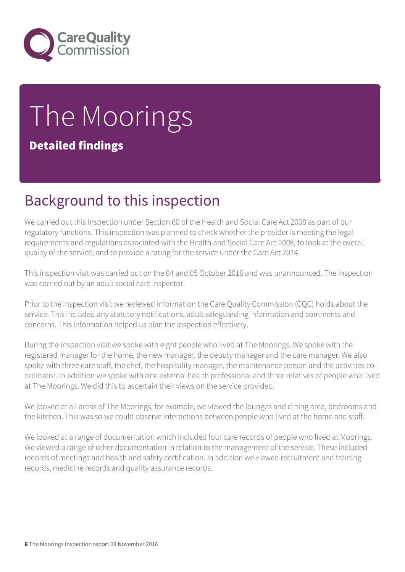

# The Moorings

Detailed findings

## Background to this inspection

We carried out this inspection under Section 60 of the Health and Social Care Act 2008 as part of our regulatory functions. This inspection was planned to check whether the provider is meeting the legal requirements and regulations associated with the Health and Social Care Act 2008, to look at the overall quality of the service, and to provide a rating for the service under the Care Act 2014.

This inspection visit was carried out on the 04 and 05 October 2016 and was unannounced. The inspection was carried out by an adult social care inspector.

Prior to the inspection visit we reviewed information the Care Quality Commission (CQC) holds about the service. This included any statutory notifications, adult safeguarding information and comments and concerns. This information helped us plan the inspection effectively.

During the inspection visit we spoke with eight people who lived at The Moorings. We spoke with the registered manager for the home, the new manager, the deputy manager and the care manager. We also spoke with three care staff, the chef, the hospitality manager, the maintenance person and the activities coordinator. In addition we spoke with one external health professional and three relatives of people who lived at The Moorings. We did this to ascertain their views on the service provided.

We looked at all areas of The Moorings, for example, we viewed the lounges and dining area, bedrooms and the kitchen. This was so we could observe interactions between people who lived at the home and staff.

We looked at a range of documentation which included four care records of people who lived at Moorings. We viewed a range of other documentation in relation to the management of the service. These included records of meetings and health and safety certification. In addition we viewed recruitment and training records, medicine records and quality assurance records.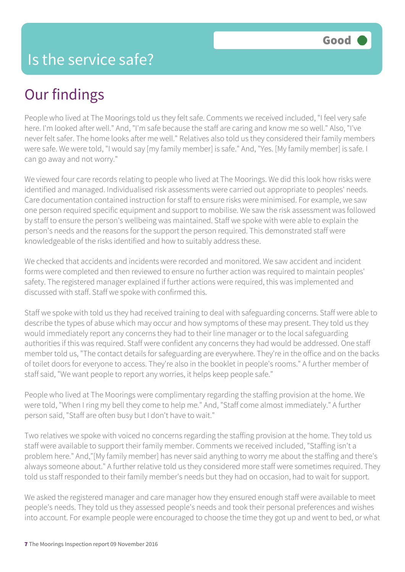## Our findings

People who lived at The Moorings told us they felt safe. Comments we received included, "I feel very safe here. I'm looked after well." And, "I'm safe because the staff are caring and know me so well." Also, "I've never felt safer. The home looks after me well." Relatives also told us they considered their family members were safe. We were told, "I would say [my family member] is safe." And, "Yes. [My family member] is safe. I can go away and not worry."

We viewed four care records relating to people who lived at The Moorings. We did this look how risks were identified and managed. Individualised risk assessments were carried out appropriate to peoples' needs. Care documentation contained instruction for staff to ensure risks were minimised. For example, we saw one person required specific equipment and support to mobilise. We saw the risk assessment was followed by staff to ensure the person's wellbeing was maintained. Staff we spoke with were able to explain the person's needs and the reasons for the support the person required. This demonstrated staff were knowledgeable of the risks identified and how to suitably address these.

We checked that accidents and incidents were recorded and monitored. We saw accident and incident forms were completed and then reviewed to ensure no further action was required to maintain peoples' safety. The registered manager explained if further actions were required, this was implemented and discussed with staff. Staff we spoke with confirmed this.

Staff we spoke with told us they had received training to deal with safeguarding concerns. Staff were able to describe the types of abuse which may occur and how symptoms of these may present. They told us they would immediately report any concerns they had to their line manager or to the local safeguarding authorities if this was required. Staff were confident any concerns they had would be addressed. One staff member told us, "The contact details for safeguarding are everywhere. They're in the office and on the backs of toilet doors for everyone to access. They're also in the booklet in people's rooms." A further member of staff said, "We want people to report any worries, it helps keep people safe."

People who lived at The Moorings were complimentary regarding the staffing provision at the home. We were told, "When I ring my bell they come to help me." And, "Staff come almost immediately." A further person said, "Staff are often busy but I don't have to wait."

Two relatives we spoke with voiced no concerns regarding the staffing provision at the home. They told us staff were available to support their family member. Comments we received included, "Staffing isn't a problem here." And,"[My family member] has never said anything to worry me about the staffing and there's always someone about." A further relative told us they considered more staff were sometimes required. They told us staff responded to their family member's needs but they had on occasion, had to wait for support.

We asked the registered manager and care manager how they ensured enough staff were available to meet people's needs. They told us they assessed people's needs and took their personal preferences and wishes into account. For example people were encouraged to choose the time they got up and went to bed, or what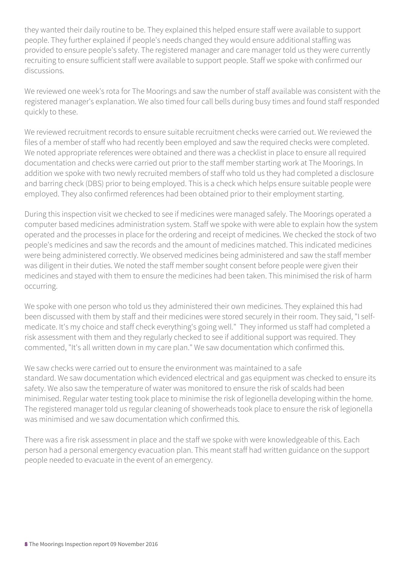they wanted their daily routine to be. They explained this helped ensure staff were available to support people. They further explained if people's needs changed they would ensure additional staffing was provided to ensure people's safety. The registered manager and care manager told us they were currently recruiting to ensure sufficient staff were available to support people. Staff we spoke with confirmed our discussions.

We reviewed one week's rota for The Moorings and saw the number of staff available was consistent with the registered manager's explanation. We also timed four call bells during busy times and found staff responded quickly to these.

We reviewed recruitment records to ensure suitable recruitment checks were carried out. We reviewed the files of a member of staff who had recently been employed and saw the required checks were completed. We noted appropriate references were obtained and there was a checklist in place to ensure all required documentation and checks were carried out prior to the staff member starting work at The Moorings. In addition we spoke with two newly recruited members of staff who told us they had completed a disclosure and barring check (DBS) prior to being employed. This is a check which helps ensure suitable people were employed. They also confirmed references had been obtained prior to their employment starting.

During this inspection visit we checked to see if medicines were managed safely. The Moorings operated a computer based medicines administration system. Staff we spoke with were able to explain how the system operated and the processes in place for the ordering and receipt of medicines. We checked the stock of two people's medicines and saw the records and the amount of medicines matched. This indicated medicines were being administered correctly. We observed medicines being administered and saw the staff member was diligent in their duties. We noted the staff member sought consent before people were given their medicines and stayed with them to ensure the medicines had been taken. This minimised the risk of harm occurring.

We spoke with one person who told us they administered their own medicines. They explained this had been discussed with them by staff and their medicines were stored securely in their room. They said, "I selfmedicate. It's my choice and staff check everything's going well." They informed us staff had completed a risk assessment with them and they regularly checked to see if additional support was required. They commented, "It's all written down in my care plan." We saw documentation which confirmed this.

We saw checks were carried out to ensure the environment was maintained to a safe standard. We saw documentation which evidenced electrical and gas equipment was checked to ensure its safety. We also saw the temperature of water was monitored to ensure the risk of scalds had been minimised. Regular water testing took place to minimise the risk of legionella developing within the home. The registered manager told us regular cleaning of showerheads took place to ensure the risk of legionella was minimised and we saw documentation which confirmed this.

There was a fire risk assessment in place and the staff we spoke with were knowledgeable of this. Each person had a personal emergency evacuation plan. This meant staff had written guidance on the support people needed to evacuate in the event of an emergency.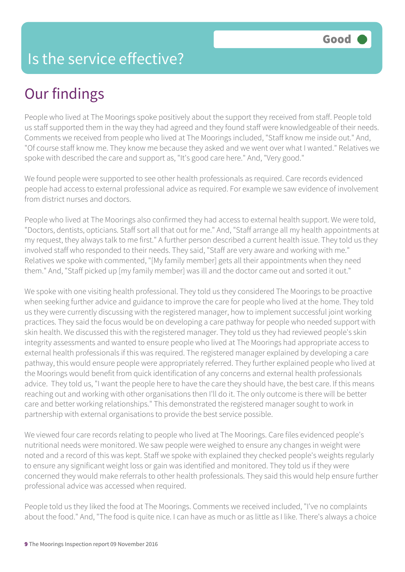### Is the service effective?

## Our findings

People who lived at The Moorings spoke positively about the support they received from staff. People told us staff supported them in the way they had agreed and they found staff were knowledgeable of their needs. Comments we received from people who lived at The Moorings included, "Staff know me inside out." And, "Of course staff know me. They know me because they asked and we went over what I wanted." Relatives we spoke with described the care and support as, "It's good care here." And, "Very good."

We found people were supported to see other health professionals as required. Care records evidenced people had access to external professional advice as required. For example we saw evidence of involvement from district nurses and doctors.

People who lived at The Moorings also confirmed they had access to external health support. We were told, "Doctors, dentists, opticians. Staff sort all that out for me." And, "Staff arrange all my health appointments at my request, they always talk to me first." A further person described a current health issue. They told us they involved staff who responded to their needs. They said, "Staff are very aware and working with me." Relatives we spoke with commented, "[My family member] gets all their appointments when they need them." And, "Staff picked up [my family member] was ill and the doctor came out and sorted it out."

We spoke with one visiting health professional. They told us they considered The Moorings to be proactive when seeking further advice and guidance to improve the care for people who lived at the home. They told us they were currently discussing with the registered manager, how to implement successful joint working practices. They said the focus would be on developing a care pathway for people who needed support with skin health. We discussed this with the registered manager. They told us they had reviewed people's skin integrity assessments and wanted to ensure people who lived at The Moorings had appropriate access to external health professionals if this was required. The registered manager explained by developing a care pathway, this would ensure people were appropriately referred. They further explained people who lived at the Moorings would benefit from quick identification of any concerns and external health professionals advice. They told us, "I want the people here to have the care they should have, the best care. If this means reaching out and working with other organisations then I'll do it. The only outcome is there will be better care and better working relationships." This demonstrated the registered manager sought to work in partnership with external organisations to provide the best service possible.

We viewed four care records relating to people who lived at The Moorings. Care files evidenced people's nutritional needs were monitored. We saw people were weighed to ensure any changes in weight were noted and a record of this was kept. Staff we spoke with explained they checked people's weights regularly to ensure any significant weight loss or gain was identified and monitored. They told us if they were concerned they would make referrals to other health professionals. They said this would help ensure further professional advice was accessed when required.

People told us they liked the food at The Moorings. Comments we received included, "I've no complaints about the food." And, "The food is quite nice. I can have as much or as little as I like. There's always a choice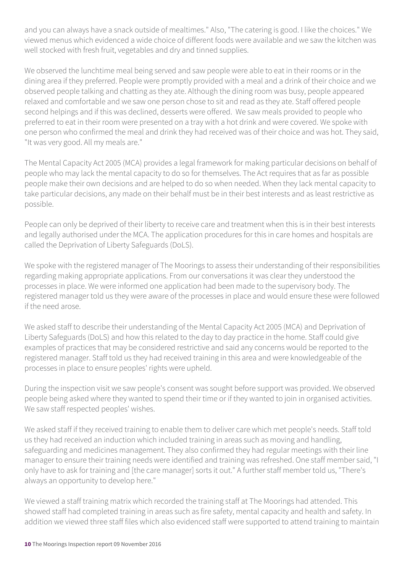and you can always have a snack outside of mealtimes." Also, "The catering is good. I like the choices." We viewed menus which evidenced a wide choice of different foods were available and we saw the kitchen was well stocked with fresh fruit, vegetables and dry and tinned supplies.

We observed the lunchtime meal being served and saw people were able to eat in their rooms or in the dining area if they preferred. People were promptly provided with a meal and a drink of their choice and we observed people talking and chatting as they ate. Although the dining room was busy, people appeared relaxed and comfortable and we saw one person chose to sit and read as they ate. Staff offered people second helpings and if this was declined, desserts were offered. We saw meals provided to people who preferred to eat in their room were presented on a tray with a hot drink and were covered. We spoke with one person who confirmed the meal and drink they had received was of their choice and was hot. They said, "It was very good. All my meals are."

The Mental Capacity Act 2005 (MCA) provides a legal framework for making particular decisions on behalf of people who may lack the mental capacity to do so for themselves. The Act requires that as far as possible people make their own decisions and are helped to do so when needed. When they lack mental capacity to take particular decisions, any made on their behalf must be in their best interests and as least restrictive as possible.

People can only be deprived of their liberty to receive care and treatment when this is in their best interests and legally authorised under the MCA. The application procedures for this in care homes and hospitals are called the Deprivation of Liberty Safeguards (DoLS).

We spoke with the registered manager of The Moorings to assess their understanding of their responsibilities regarding making appropriate applications. From our conversations it was clear they understood the processes in place. We were informed one application had been made to the supervisory body. The registered manager told us they were aware of the processes in place and would ensure these were followed if the need arose.

We asked staff to describe their understanding of the Mental Capacity Act 2005 (MCA) and Deprivation of Liberty Safeguards (DoLS) and how this related to the day to day practice in the home. Staff could give examples of practices that may be considered restrictive and said any concerns would be reported to the registered manager. Staff told us they had received training in this area and were knowledgeable of the processes in place to ensure peoples' rights were upheld.

During the inspection visit we saw people's consent was sought before support was provided. We observed people being asked where they wanted to spend their time or if they wanted to join in organised activities. We saw staff respected peoples' wishes.

We asked staff if they received training to enable them to deliver care which met people's needs. Staff told us they had received an induction which included training in areas such as moving and handling, safeguarding and medicines management. They also confirmed they had regular meetings with their line manager to ensure their training needs were identified and training was refreshed. One staff member said, "I only have to ask for training and [the care manager] sorts it out." A further staff member told us, "There's always an opportunity to develop here."

We viewed a staff training matrix which recorded the training staff at The Moorings had attended. This showed staff had completed training in areas such as fire safety, mental capacity and health and safety. In addition we viewed three staff files which also evidenced staff were supported to attend training to maintain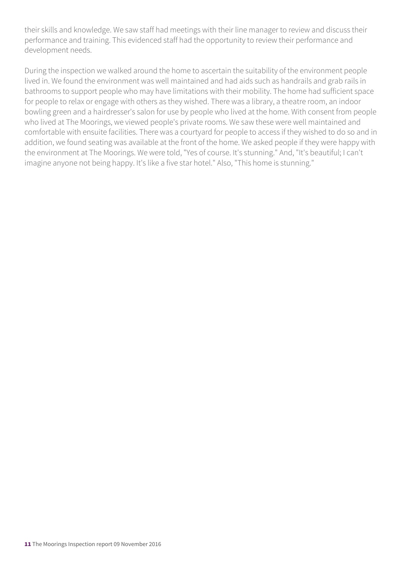their skills and knowledge. We saw staff had meetings with their line manager to review and discuss their performance and training. This evidenced staff had the opportunity to review their performance and development needs.

During the inspection we walked around the home to ascertain the suitability of the environment people lived in. We found the environment was well maintained and had aids such as handrails and grab rails in bathrooms to support people who may have limitations with their mobility. The home had sufficient space for people to relax or engage with others as they wished. There was a library, a theatre room, an indoor bowling green and a hairdresser's salon for use by people who lived at the home. With consent from people who lived at The Moorings, we viewed people's private rooms. We saw these were well maintained and comfortable with ensuite facilities. There was a courtyard for people to access if they wished to do so and in addition, we found seating was available at the front of the home. We asked people if they were happy with the environment at The Moorings. We were told, "Yes of course. It's stunning." And, "It's beautiful; I can't imagine anyone not being happy. It's like a five star hotel." Also, "This home is stunning."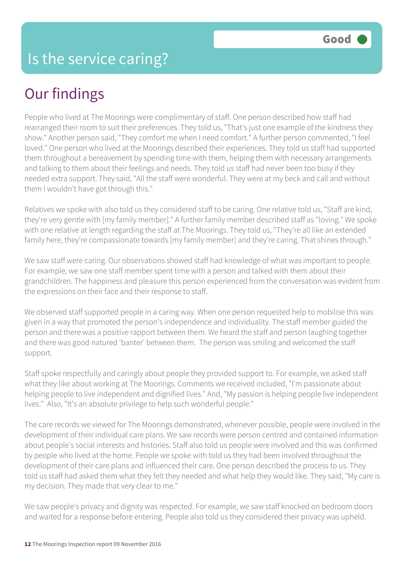## Our findings

People who lived at The Moorings were complimentary of staff. One person described how staff had rearranged their room to suit their preferences. They told us, "That's just one example of the kindness they show." Another person said, "They comfort me when I need comfort." A further person commented, "I feel loved." One person who lived at the Moorings described their experiences. They told us staff had supported them throughout a bereavement by spending time with them, helping them with necessary arrangements and talking to them about their feelings and needs. They told us staff had never been too busy if they needed extra support. They said, "All the staff were wonderful. They were at my beck and call and without them I wouldn't have got through this."

Relatives we spoke with also told us they considered staff to be caring. One relative told us, "Staff are kind, they're very gentle with [my family member]." A further family member described staff as "loving." We spoke with one relative at length regarding the staff at The Moorings. They told us, "They're all like an extended family here, they're compassionate towards [my family member] and they're caring. That shines through."

We saw staff were caring. Our observations showed staff had knowledge of what was important to people. For example, we saw one staff member spent time with a person and talked with them about their grandchildren. The happiness and pleasure this person experienced from the conversation was evident from the expressions on their face and their response to staff.

We observed staff supported people in a caring way. When one person requested help to mobilise this was given in a way that promoted the person's independence and individuality. The staff member guided the person and there was a positive rapport between them. We heard the staff and person laughing together and there was good natured 'banter' between them. The person was smiling and welcomed the staff support.

Staff spoke respectfully and caringly about people they provided support to. For example, we asked staff what they like about working at The Moorings. Comments we received included, "I'm passionate about helping people to live independent and dignified lives." And, "My passion is helping people live independent lives." Also, "It's an absolute privilege to help such wonderful people."

The care records we viewed for The Moorings demonstrated, whenever possible, people were involved in the development of their individual care plans. We saw records were person centred and contained information about people's social interests and histories. Staff also told us people were involved and this was confirmed by people who lived at the home. People we spoke with told us they had been involved throughout the development of their care plans and influenced their care. One person described the process to us. They told us staff had asked them what they felt they needed and what help they would like. They said, "My care is my decision. They made that very clear to me."

We saw people's privacy and dignity was respected. For example, we saw staff knocked on bedroom doors and waited for a response before entering. People also told us they considered their privacy was upheld.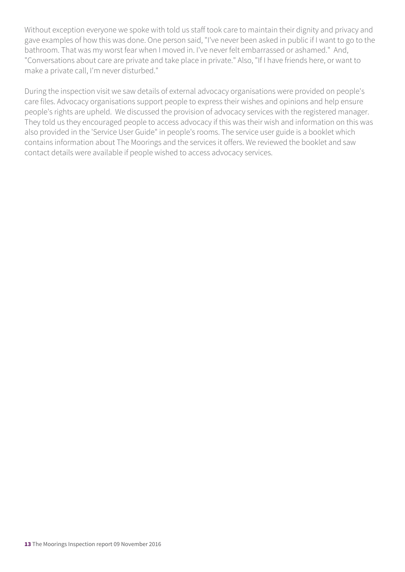Without exception everyone we spoke with told us staff took care to maintain their dignity and privacy and gave examples of how this was done. One person said, "I've never been asked in public if I want to go to the bathroom. That was my worst fear when I moved in. I've never felt embarrassed or ashamed." And, "Conversations about care are private and take place in private." Also, "If I have friends here, or want to make a private call, I'm never disturbed."

During the inspection visit we saw details of external advocacy organisations were provided on people's care files. Advocacy organisations support people to express their wishes and opinions and help ensure people's rights are upheld. We discussed the provision of advocacy services with the registered manager. They told us they encouraged people to access advocacy if this was their wish and information on this was also provided in the 'Service User Guide" in people's rooms. The service user guide is a booklet which contains information about The Moorings and the services it offers. We reviewed the booklet and saw contact details were available if people wished to access advocacy services.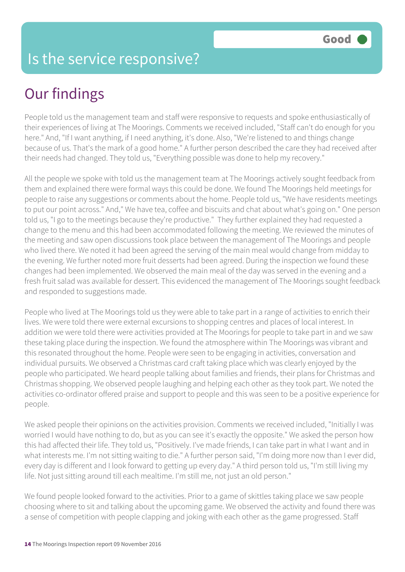### Is the service responsive?

## Our findings

People told us the management team and staff were responsive to requests and spoke enthusiastically of their experiences of living at The Moorings. Comments we received included, "Staff can't do enough for you here." And, "If I want anything, if I need anything, it's done. Also, "We're listened to and things change because of us. That's the mark of a good home." A further person described the care they had received after their needs had changed. They told us, "Everything possible was done to help my recovery."

All the people we spoke with told us the management team at The Moorings actively sought feedback from them and explained there were formal ways this could be done. We found The Moorings held meetings for people to raise any suggestions or comments about the home. People told us, "We have residents meetings to put our point across." And," We have tea, coffee and biscuits and chat about what's going on." One person told us, "I go to the meetings because they're productive." They further explained they had requested a change to the menu and this had been accommodated following the meeting. We reviewed the minutes of the meeting and saw open discussions took place between the management of The Moorings and people who lived there. We noted it had been agreed the serving of the main meal would change from midday to the evening. We further noted more fruit desserts had been agreed. During the inspection we found these changes had been implemented. We observed the main meal of the day was served in the evening and a fresh fruit salad was available for dessert. This evidenced the management of The Moorings sought feedback and responded to suggestions made.

People who lived at The Moorings told us they were able to take part in a range of activities to enrich their lives. We were told there were external excursions to shopping centres and places of local interest. In addition we were told there were activities provided at The Moorings for people to take part in and we saw these taking place during the inspection. We found the atmosphere within The Moorings was vibrant and this resonated throughout the home. People were seen to be engaging in activities, conversation and individual pursuits. We observed a Christmas card craft taking place which was clearly enjoyed by the people who participated. We heard people talking about families and friends, their plans for Christmas and Christmas shopping. We observed people laughing and helping each other as they took part. We noted the activities co-ordinator offered praise and support to people and this was seen to be a positive experience for people.

We asked people their opinions on the activities provision. Comments we received included, "Initially I was worried I would have nothing to do, but as you can see it's exactly the opposite." We asked the person how this had affected their life. They told us, "Positively. I've made friends, I can take part in what I want and in what interests me. I'm not sitting waiting to die." A further person said, "I'm doing more now than I ever did, every day is different and I look forward to getting up every day." A third person told us, "I'm still living my life. Not just sitting around till each mealtime. I'm still me, not just an old person."

We found people looked forward to the activities. Prior to a game of skittles taking place we saw people choosing where to sit and talking about the upcoming game. We observed the activity and found there was a sense of competition with people clapping and joking with each other as the game progressed. Staff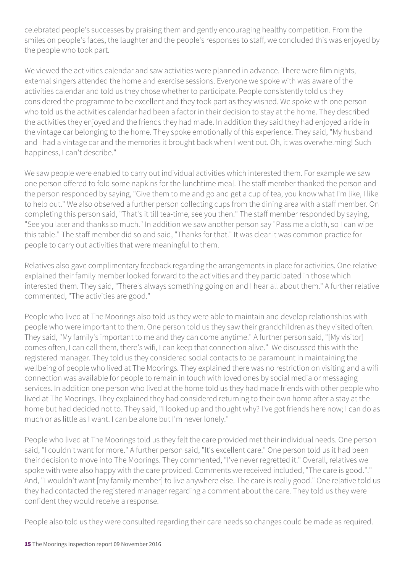celebrated people's successes by praising them and gently encouraging healthy competition. From the smiles on people's faces, the laughter and the people's responses to staff, we concluded this was enjoyed by the people who took part.

We viewed the activities calendar and saw activities were planned in advance. There were film nights, external singers attended the home and exercise sessions. Everyone we spoke with was aware of the activities calendar and told us they chose whether to participate. People consistently told us they considered the programme to be excellent and they took part as they wished. We spoke with one person who told us the activities calendar had been a factor in their decision to stay at the home. They described the activities they enjoyed and the friends they had made. In addition they said they had enjoyed a ride in the vintage car belonging to the home. They spoke emotionally of this experience. They said, "My husband and I had a vintage car and the memories it brought back when I went out. Oh, it was overwhelming! Such happiness, I can't describe."

We saw people were enabled to carry out individual activities which interested them. For example we saw one person offered to fold some napkins for the lunchtime meal. The staff member thanked the person and the person responded by saying, "Give them to me and go and get a cup of tea, you know what I'm like, I like to help out." We also observed a further person collecting cups from the dining area with a staff member. On completing this person said, "That's it till tea-time, see you then." The staff member responded by saying, "See you later and thanks so much." In addition we saw another person say "Pass me a cloth, so I can wipe this table." The staff member did so and said, "Thanks for that." It was clear it was common practice for people to carry out activities that were meaningful to them.

Relatives also gave complimentary feedback regarding the arrangements in place for activities. One relative explained their family member looked forward to the activities and they participated in those which interested them. They said, "There's always something going on and I hear all about them." A further relative commented, "The activities are good."

People who lived at The Moorings also told us they were able to maintain and develop relationships with people who were important to them. One person told us they saw their grandchildren as they visited often. They said, "My family's important to me and they can come anytime." A further person said, "[My visitor] comes often, I can call them, there's wifi, I can keep that connection alive." We discussed this with the registered manager. They told us they considered social contacts to be paramount in maintaining the wellbeing of people who lived at The Moorings. They explained there was no restriction on visiting and a wifi connection was available for people to remain in touch with loved ones by social media or messaging services. In addition one person who lived at the home told us they had made friends with other people who lived at The Moorings. They explained they had considered returning to their own home after a stay at the home but had decided not to. They said, "I looked up and thought why? I've got friends here now; I can do as much or as little as I want. I can be alone but I'm never lonely."

People who lived at The Moorings told us they felt the care provided met their individual needs. One person said, "I couldn't want for more." A further person said, "It's excellent care." One person told us it had been their decision to move into The Moorings. They commented, "I've never regretted it." Overall, relatives we spoke with were also happy with the care provided. Comments we received included, "The care is good."." And, "I wouldn't want [my family member] to live anywhere else. The care is really good." One relative told us they had contacted the registered manager regarding a comment about the care. They told us they were confident they would receive a response.

People also told us they were consulted regarding their care needs so changes could be made as required.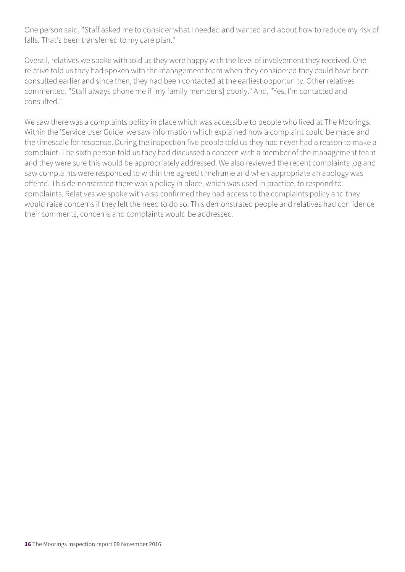One person said, "Staff asked me to consider what I needed and wanted and about how to reduce my risk of falls. That's been transferred to my care plan."

Overall, relatives we spoke with told us they were happy with the level of involvement they received. One relative told us they had spoken with the management team when they considered they could have been consulted earlier and since then, they had been contacted at the earliest opportunity. Other relatives commented, "Staff always phone me if [my family member's] poorly." And, "Yes, I'm contacted and consulted."

We saw there was a complaints policy in place which was accessible to people who lived at The Moorings. Within the 'Service User Guide' we saw information which explained how a complaint could be made and the timescale for response. During the inspection five people told us they had never had a reason to make a complaint. The sixth person told us they had discussed a concern with a member of the management team and they were sure this would be appropriately addressed. We also reviewed the recent complaints log and saw complaints were responded to within the agreed timeframe and when appropriate an apology was offered. This demonstrated there was a policy in place, which was used in practice, to respond to complaints. Relatives we spoke with also confirmed they had access to the complaints policy and they would raise concerns if they felt the need to do so. This demonstrated people and relatives had confidence their comments, concerns and complaints would be addressed.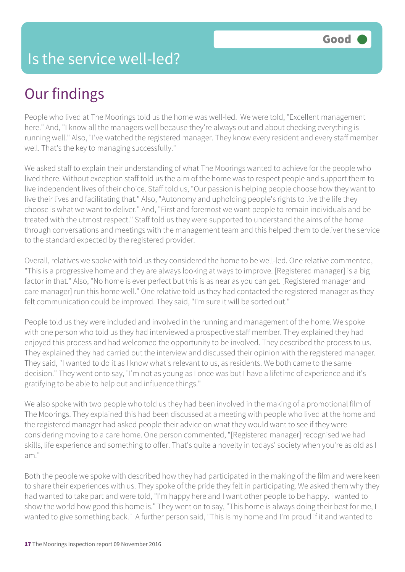## Our findings

People who lived at The Moorings told us the home was well-led. We were told, "Excellent management here." And, "I know all the managers well because they're always out and about checking everything is running well." Also, "I've watched the registered manager. They know every resident and every staff member well. That's the key to managing successfully."

We asked staff to explain their understanding of what The Moorings wanted to achieve for the people who lived there. Without exception staff told us the aim of the home was to respect people and support them to live independent lives of their choice. Staff told us, "Our passion is helping people choose how they want to live their lives and facilitating that." Also, "Autonomy and upholding people's rights to live the life they choose is what we want to deliver." And, "First and foremost we want people to remain individuals and be treated with the utmost respect." Staff told us they were supported to understand the aims of the home through conversations and meetings with the management team and this helped them to deliver the service to the standard expected by the registered provider.

Overall, relatives we spoke with told us they considered the home to be well-led. One relative commented, "This is a progressive home and they are always looking at ways to improve. [Registered manager] is a big factor in that." Also, "No home is ever perfect but this is as near as you can get. [Registered manager and care manager] run this home well." One relative told us they had contacted the registered manager as they felt communication could be improved. They said, "I'm sure it will be sorted out."

People told us they were included and involved in the running and management of the home. We spoke with one person who told us they had interviewed a prospective staff member. They explained they had enjoyed this process and had welcomed the opportunity to be involved. They described the process to us. They explained they had carried out the interview and discussed their opinion with the registered manager. They said, "I wanted to do it as I know what's relevant to us, as residents. We both came to the same decision." They went onto say, "I'm not as young as I once was but I have a lifetime of experience and it's gratifying to be able to help out and influence things."

We also spoke with two people who told us they had been involved in the making of a promotional film of The Moorings. They explained this had been discussed at a meeting with people who lived at the home and the registered manager had asked people their advice on what they would want to see if they were considering moving to a care home. One person commented, "[Registered manager] recognised we had skills, life experience and something to offer. That's quite a novelty in todays' society when you're as old as I am."

Both the people we spoke with described how they had participated in the making of the film and were keen to share their experiences with us. They spoke of the pride they felt in participating. We asked them why they had wanted to take part and were told, "I'm happy here and I want other people to be happy. I wanted to show the world how good this home is." They went on to say, "This home is always doing their best for me, I wanted to give something back." A further person said, "This is my home and I'm proud if it and wanted to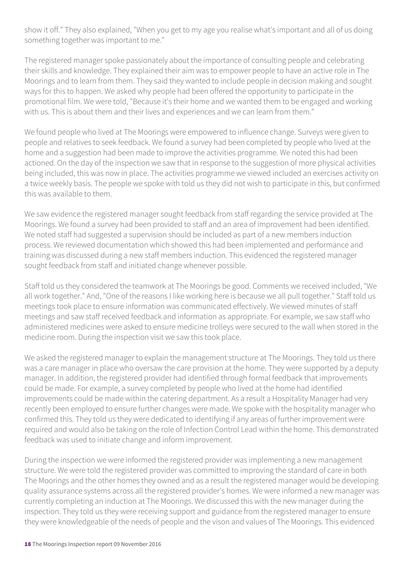show it off." They also explained, "When you get to my age you realise what's important and all of us doing something together was important to me."

The registered manager spoke passionately about the importance of consulting people and celebrating their skills and knowledge. They explained their aim was to empower people to have an active role in The Moorings and to learn from them. They said they wanted to include people in decision making and sought ways for this to happen. We asked why people had been offered the opportunity to participate in the promotional film. We were told, "Because it's their home and we wanted them to be engaged and working with us. This is about them and their lives and experiences and we can learn from them."

We found people who lived at The Moorings were empowered to influence change. Surveys were given to people and relatives to seek feedback. We found a survey had been completed by people who lived at the home and a suggestion had been made to improve the activities programme. We noted this had been actioned. On the day of the inspection we saw that in response to the suggestion of more physical activities being included, this was now in place. The activities programme we viewed included an exercises activity on a twice weekly basis. The people we spoke with told us they did not wish to participate in this, but confirmed this was available to them.

We saw evidence the registered manager sought feedback from staff regarding the service provided at The Moorings. We found a survey had been provided to staff and an area of improvement had been identified. We noted staff had suggested a supervision should be included as part of a new members induction process. We reviewed documentation which showed this had been implemented and performance and training was discussed during a new staff members induction. This evidenced the registered manager sought feedback from staff and initiated change whenever possible.

Staff told us they considered the teamwork at The Moorings be good. Comments we received included, "We all work together." And, "One of the reasons I like working here is because we all pull together." Staff told us meetings took place to ensure information was communicated effectively. We viewed minutes of staff meetings and saw staff received feedback and information as appropriate. For example, we saw staff who administered medicines were asked to ensure medicine trolleys were secured to the wall when stored in the medicine room. During the inspection visit we saw this took place.

We asked the registered manager to explain the management structure at The Moorings. They told us there was a care manager in place who oversaw the care provision at the home. They were supported by a deputy manager. In addition, the registered provider had identified through formal feedback that improvements could be made. For example, a survey completed by people who lived at the home had identified improvements could be made within the catering department. As a result a Hospitality Manager had very recently been employed to ensure further changes were made. We spoke with the hospitality manager who confirmed this. They told us they were dedicated to identifying if any areas of further improvement were required and would also be taking on the role of Infection Control Lead within the home. This demonstrated feedback was used to initiate change and inform improvement.

During the inspection we were informed the registered provider was implementing a new management structure. We were told the registered provider was committed to improving the standard of care in both The Moorings and the other homes they owned and as a result the registered manager would be developing quality assurance systems across all the registered provider's homes. We were informed a new manager was currently completing an induction at The Moorings. We discussed this with the new manager during the inspection. They told us they were receiving support and guidance from the registered manager to ensure they were knowledgeable of the needs of people and the vison and values of The Moorings. This evidenced